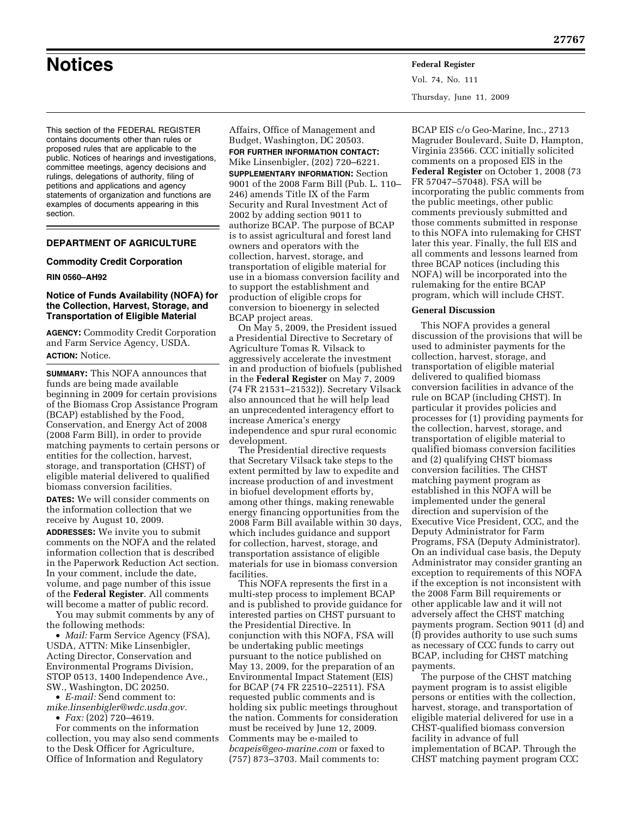**Notices Federal Register**

Vol. 74, No. 111 Thursday, June 11, 2009

This section of the FEDERAL REGISTER contains documents other than rules or proposed rules that are applicable to the public. Notices of hearings and investigations, committee meetings, agency decisions and rulings, delegations of authority, filing of petitions and applications and agency statements of organization and functions are examples of documents appearing in this section.

# **DEPARTMENT OF AGRICULTURE**

#### **Commodity Credit Corporation**

### **RIN 0560–AH92**

## **Notice of Funds Availability (NOFA) for the Collection, Harvest, Storage, and Transportation of Eligible Material**

**AGENCY:** Commodity Credit Corporation and Farm Service Agency, USDA. **ACTION:** Notice.

**SUMMARY:** This NOFA announces that funds are being made available beginning in 2009 for certain provisions of the Biomass Crop Assistance Program (BCAP) established by the Food, Conservation, and Energy Act of 2008 (2008 Farm Bill), in order to provide matching payments to certain persons or entities for the collection, harvest, storage, and transportation (CHST) of eligible material delivered to qualified biomass conversion facilities.

**DATES:** We will consider comments on the information collection that we receive by August 10, 2009.

**ADDRESSES:** We invite you to submit comments on the NOFA and the related information collection that is described in the Paperwork Reduction Act section. In your comment, include the date, volume, and page number of this issue of the **Federal Register**. All comments will become a matter of public record.

You may submit comments by any of the following methods:

• *Mail:* Farm Service Agency (FSA), USDA, ATTN: Mike Linsenbigler, Acting Director, Conservation and Environmental Programs Division, STOP 0513, 1400 Independence Ave., SW., Washington, DC 20250.

• *E-mail:* Send comment to: *mike.linsenbigler@wdc.usda.gov.* 

• *Fax:* (202) 720–4619.

For comments on the information collection, you may also send comments to the Desk Officer for Agriculture, Office of Information and Regulatory

Affairs, Office of Management and Budget, Washington, DC 20503. **FOR FURTHER INFORMATION CONTACT:**  Mike Linsenbigler, (202) 720–6221. **SUPPLEMENTARY INFORMATION:** Section 9001 of the 2008 Farm Bill (Pub. L. 110– 246) amends Title IX of the Farm Security and Rural Investment Act of 2002 by adding section 9011 to authorize BCAP. The purpose of BCAP is to assist agricultural and forest land owners and operators with the collection, harvest, storage, and transportation of eligible material for use in a biomass conversion facility and to support the establishment and production of eligible crops for conversion to bioenergy in selected BCAP project areas.

On May 5, 2009, the President issued a Presidential Directive to Secretary of Agriculture Tomas R. Vilsack to aggressively accelerate the investment in and production of biofuels (published in the **Federal Register** on May 7, 2009 (74 FR 21531–21532)). Secretary Vilsack also announced that he will help lead an unprecedented interagency effort to increase America's energy independence and spur rural economic development.

The Presidential directive requests that Secretary Vilsack take steps to the extent permitted by law to expedite and increase production of and investment in biofuel development efforts by, among other things, making renewable energy financing opportunities from the 2008 Farm Bill available within 30 days, which includes guidance and support for collection, harvest, storage, and transportation assistance of eligible materials for use in biomass conversion facilities.

This NOFA represents the first in a multi-step process to implement BCAP and is published to provide guidance for interested parties on CHST pursuant to the Presidential Directive. In conjunction with this NOFA, FSA will be undertaking public meetings pursuant to the notice published on May 13, 2009, for the preparation of an Environmental Impact Statement (EIS) for BCAP (74 FR 22510–22511). FSA requested public comments and is holding six public meetings throughout the nation. Comments for consideration must be received by June 12, 2009. Comments may be e-mailed to *bcapeis@geo-marine.com* or faxed to (757) 873–3703. Mail comments to:

BCAP EIS c/o Geo-Marine, Inc., 2713 Magruder Boulevard, Suite D, Hampton, Virginia 23566. CCC initially solicited comments on a proposed EIS in the **Federal Register** on October 1, 2008 (73 FR 57047–57048). FSA will be incorporating the public comments from the public meetings, other public comments previously submitted and those comments submitted in response to this NOFA into rulemaking for CHST later this year. Finally, the full EIS and all comments and lessons learned from three BCAP notices (including this NOFA) will be incorporated into the rulemaking for the entire BCAP program, which will include CHST.

### **General Discussion**

This NOFA provides a general discussion of the provisions that will be used to administer payments for the collection, harvest, storage, and transportation of eligible material delivered to qualified biomass conversion facilities in advance of the rule on BCAP (including CHST). In particular it provides policies and processes for (1) providing payments for the collection, harvest, storage, and transportation of eligible material to qualified biomass conversion facilities and (2) qualifying CHST biomass conversion facilities. The CHST matching payment program as established in this NOFA will be implemented under the general direction and supervision of the Executive Vice President, CCC, and the Deputy Administrator for Farm Programs, FSA (Deputy Administrator). On an individual case basis, the Deputy Administrator may consider granting an exception to requirements of this NOFA if the exception is not inconsistent with the 2008 Farm Bill requirements or other applicable law and it will not adversely affect the CHST matching payments program. Section 9011 (d) and (f) provides authority to use such sums as necessary of CCC funds to carry out BCAP, including for CHST matching payments.

The purpose of the CHST matching payment program is to assist eligible persons or entities with the collection, harvest, storage, and transportation of eligible material delivered for use in a CHST-qualified biomass conversion facility in advance of full implementation of BCAP. Through the CHST matching payment program CCC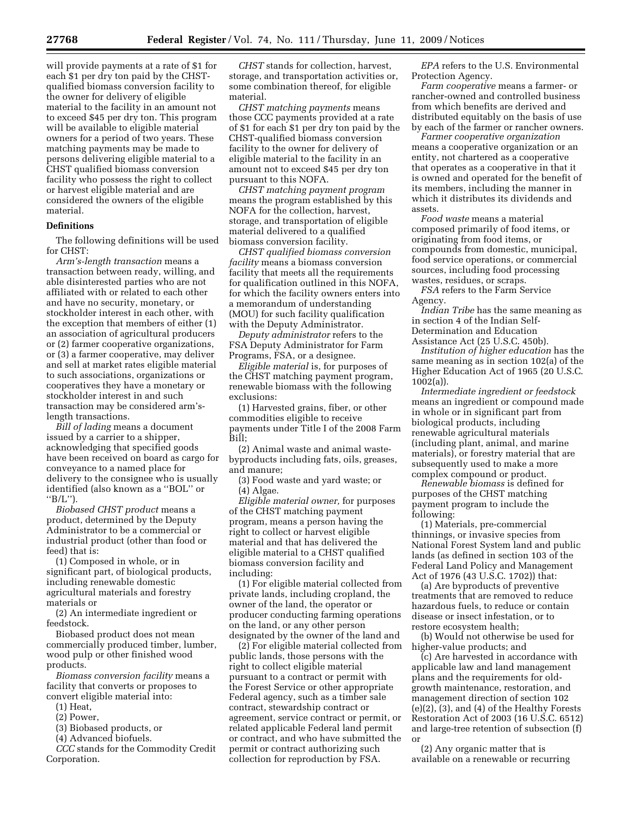will provide payments at a rate of \$1 for each \$1 per dry ton paid by the CHSTqualified biomass conversion facility to the owner for delivery of eligible material to the facility in an amount not to exceed \$45 per dry ton. This program will be available to eligible material owners for a period of two years. These matching payments may be made to persons delivering eligible material to a CHST qualified biomass conversion facility who possess the right to collect or harvest eligible material and are considered the owners of the eligible material.

## **Definitions**

The following definitions will be used for CHST:

*Arm's-length transaction* means a transaction between ready, willing, and able disinterested parties who are not affiliated with or related to each other and have no security, monetary, or stockholder interest in each other, with the exception that members of either (1) an association of agricultural producers or (2) farmer cooperative organizations, or (3) a farmer cooperative, may deliver and sell at market rates eligible material to such associations, organizations or cooperatives they have a monetary or stockholder interest in and such transaction may be considered arm'slength transactions.

*Bill of lading* means a document issued by a carrier to a shipper, acknowledging that specified goods have been received on board as cargo for conveyance to a named place for delivery to the consignee who is usually identified (also known as a ''BOL'' or " $B/L$ ").

*Biobased CHST product* means a product, determined by the Deputy Administrator to be a commercial or industrial product (other than food or feed) that is:

(1) Composed in whole, or in significant part, of biological products, including renewable domestic agricultural materials and forestry materials or

(2) An intermediate ingredient or feedstock.

Biobased product does not mean commercially produced timber, lumber, wood pulp or other finished wood products.

*Biomass conversion facility* means a facility that converts or proposes to convert eligible material into:

(1) Heat,

(2) Power,

(3) Biobased products, or

(4) Advanced biofuels.

*CCC* stands for the Commodity Credit Corporation.

*CHST* stands for collection, harvest, storage, and transportation activities or, some combination thereof, for eligible material.

*CHST matching payments* means those CCC payments provided at a rate of \$1 for each \$1 per dry ton paid by the CHST-qualified biomass conversion facility to the owner for delivery of eligible material to the facility in an amount not to exceed \$45 per dry ton pursuant to this NOFA.

*CHST matching payment program*  means the program established by this NOFA for the collection, harvest, storage, and transportation of eligible material delivered to a qualified biomass conversion facility.

*CHST qualified biomass conversion facility* means a biomass conversion facility that meets all the requirements for qualification outlined in this NOFA, for which the facility owners enters into a memorandum of understanding (MOU) for such facility qualification with the Deputy Administrator.

*Deputy administrator* refers to the FSA Deputy Administrator for Farm Programs, FSA, or a designee.

*Eligible material* is, for purposes of the CHST matching payment program, renewable biomass with the following exclusions:

(1) Harvested grains, fiber, or other commodities eligible to receive payments under Title I of the 2008 Farm Bill;

(2) Animal waste and animal wastebyproducts including fats, oils, greases, and manure;

(3) Food waste and yard waste; or (4) Algae.

*Eligible material owner,* for purposes of the CHST matching payment program, means a person having the right to collect or harvest eligible material and that has delivered the eligible material to a CHST qualified biomass conversion facility and including:

(1) For eligible material collected from private lands, including cropland, the owner of the land, the operator or producer conducting farming operations on the land, or any other person designated by the owner of the land and

(2) For eligible material collected from public lands, those persons with the right to collect eligible material pursuant to a contract or permit with the Forest Service or other appropriate Federal agency, such as a timber sale contract, stewardship contract or agreement, service contract or permit, or related applicable Federal land permit or contract, and who have submitted the permit or contract authorizing such collection for reproduction by FSA.

*EPA* refers to the U.S. Environmental Protection Agency.

*Farm cooperative* means a farmer- or rancher-owned and controlled business from which benefits are derived and distributed equitably on the basis of use by each of the farmer or rancher owners.

*Farmer cooperative organization*  means a cooperative organization or an entity, not chartered as a cooperative that operates as a cooperative in that it is owned and operated for the benefit of its members, including the manner in which it distributes its dividends and assets.

*Food waste* means a material composed primarily of food items, or originating from food items, or compounds from domestic, municipal, food service operations, or commercial sources, including food processing wastes, residues, or scraps.

*FSA* refers to the Farm Service Agency.

*Indian Tribe* has the same meaning as in section 4 of the Indian Self-Determination and Education Assistance Act (25 U.S.C. 450b).

*Institution of higher education* has the same meaning as in section 102(a) of the Higher Education Act of 1965 (20 U.S.C. 1002(a)).

*Intermediate ingredient or feedstock*  means an ingredient or compound made in whole or in significant part from biological products, including renewable agricultural materials (including plant, animal, and marine materials), or forestry material that are subsequently used to make a more complex compound or product.

*Renewable biomass* is defined for purposes of the CHST matching payment program to include the following:

(1) Materials, pre-commercial thinnings, or invasive species from National Forest System land and public lands (as defined in section 103 of the Federal Land Policy and Management Act of 1976 (43 U.S.C. 1702)) that:

(a) Are byproducts of preventive treatments that are removed to reduce hazardous fuels, to reduce or contain disease or insect infestation, or to restore ecosystem health;

(b) Would not otherwise be used for higher-value products; and

(c) Are harvested in accordance with applicable law and land management plans and the requirements for oldgrowth maintenance, restoration, and management direction of section 102 (e)(2), (3), and (4) of the Healthy Forests Restoration Act of 2003 (16 U.S.C. 6512) and large-tree retention of subsection (f) or

(2) Any organic matter that is available on a renewable or recurring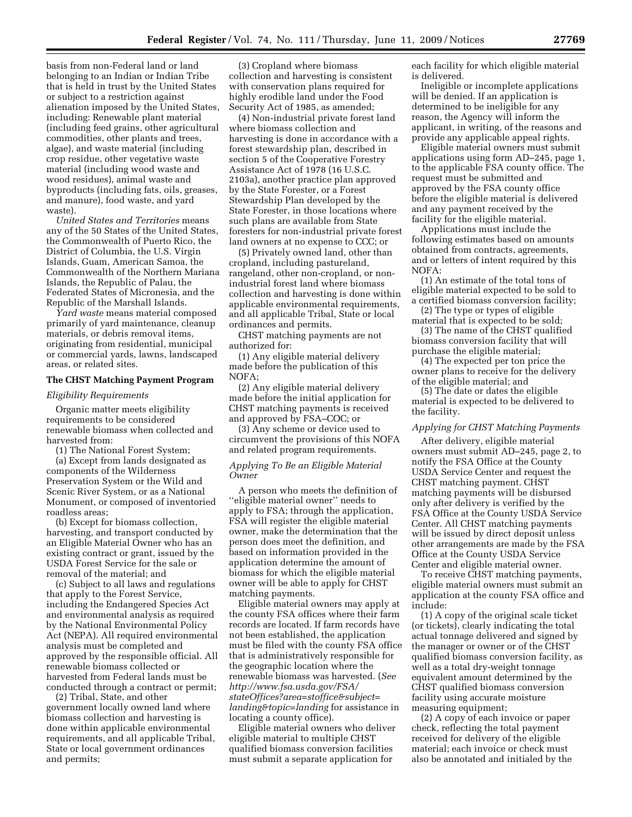basis from non-Federal land or land belonging to an Indian or Indian Tribe that is held in trust by the United States or subject to a restriction against alienation imposed by the United States, including: Renewable plant material (including feed grains, other agricultural commodities, other plants and trees, algae), and waste material (including crop residue, other vegetative waste material (including wood waste and wood residues), animal waste and byproducts (including fats, oils, greases, and manure), food waste, and yard waste).

*United States and Territories* means any of the 50 States of the United States, the Commonwealth of Puerto Rico, the District of Columbia, the U.S. Virgin Islands, Guam, American Samoa, the Commonwealth of the Northern Mariana Islands, the Republic of Palau, the Federated States of Micronesia, and the Republic of the Marshall Islands.

*Yard waste* means material composed primarily of yard maintenance, cleanup materials, or debris removal items, originating from residential, municipal or commercial yards, lawns, landscaped areas, or related sites.

#### **The CHST Matching Payment Program**

### *Eligibility Requirements*

Organic matter meets eligibility requirements to be considered renewable biomass when collected and harvested from:

(1) The National Forest System;

(a) Except from lands designated as components of the Wilderness Preservation System or the Wild and Scenic River System, or as a National Monument, or composed of inventoried roadless areas;

(b) Except for biomass collection, harvesting, and transport conducted by an Eligible Material Owner who has an existing contract or grant, issued by the USDA Forest Service for the sale or removal of the material; and

(c) Subject to all laws and regulations that apply to the Forest Service, including the Endangered Species Act and environmental analysis as required by the National Environmental Policy Act (NEPA). All required environmental analysis must be completed and approved by the responsible official. All renewable biomass collected or harvested from Federal lands must be conducted through a contract or permit;

(2) Tribal, State, and other government locally owned land where biomass collection and harvesting is done within applicable environmental requirements, and all applicable Tribal, State or local government ordinances and permits;

(3) Cropland where biomass collection and harvesting is consistent with conservation plans required for highly erodible land under the Food Security Act of 1985, as amended;

(4) Non-industrial private forest land where biomass collection and harvesting is done in accordance with a forest stewardship plan, described in section 5 of the Cooperative Forestry Assistance Act of 1978 (16 U.S.C. 2103a), another practice plan approved by the State Forester, or a Forest Stewardship Plan developed by the State Forester, in those locations where such plans are available from State foresters for non-industrial private forest land owners at no expense to CCC; or

(5) Privately owned land, other than cropland, including pastureland, rangeland, other non-cropland, or nonindustrial forest land where biomass collection and harvesting is done within applicable environmental requirements, and all applicable Tribal, State or local ordinances and permits.

CHST matching payments are not authorized for:

(1) Any eligible material delivery made before the publication of this NOFA;

(2) Any eligible material delivery made before the initial application for CHST matching payments is received and approved by FSA–COC; or

(3) Any scheme or device used to circumvent the provisions of this NOFA and related program requirements.

## *Applying To Be an Eligible Material Owner*

A person who meets the definition of ''eligible material owner'' needs to apply to FSA; through the application, FSA will register the eligible material owner, make the determination that the person does meet the definition, and based on information provided in the application determine the amount of biomass for which the eligible material owner will be able to apply for CHST matching payments.

Eligible material owners may apply at the county FSA offices where their farm records are located. If farm records have not been established, the application must be filed with the county FSA office that is administratively responsible for the geographic location where the renewable biomass was harvested. (*See http://www.fsa.usda.gov/FSA/ stateOffices?area=stoffice&subject= landing&topic=landing* for assistance in locating a county office).

Eligible material owners who deliver eligible material to multiple CHST qualified biomass conversion facilities must submit a separate application for

each facility for which eligible material is delivered.

Ineligible or incomplete applications will be denied. If an application is determined to be ineligible for any reason, the Agency will inform the applicant, in writing, of the reasons and provide any applicable appeal rights.

Eligible material owners must submit applications using form AD–245, page 1, to the applicable FSA county office. The request must be submitted and approved by the FSA county office before the eligible material is delivered and any payment received by the facility for the eligible material.

Applications must include the following estimates based on amounts obtained from contracts, agreements, and or letters of intent required by this NOFA:

(1) An estimate of the total tons of eligible material expected to be sold to a certified biomass conversion facility;

(2) The type or types of eligible material that is expected to be sold;

(3) The name of the CHST qualified biomass conversion facility that will purchase the eligible material;

(4) The expected per ton price the owner plans to receive for the delivery of the eligible material; and

(5) The date or dates the eligible material is expected to be delivered to the facility.

# *Applying for CHST Matching Payments*

After delivery, eligible material owners must submit AD–245, page 2, to notify the FSA Office at the County USDA Service Center and request the CHST matching payment. CHST matching payments will be disbursed only after delivery is verified by the FSA Office at the County USDA Service Center. All CHST matching payments will be issued by direct deposit unless other arrangements are made by the FSA Office at the County USDA Service Center and eligible material owner.

To receive CHST matching payments, eligible material owners must submit an application at the county FSA office and include:

(1) A copy of the original scale ticket (or tickets), clearly indicating the total actual tonnage delivered and signed by the manager or owner or of the CHST qualified biomass conversion facility, as well as a total dry-weight tonnage equivalent amount determined by the CHST qualified biomass conversion facility using accurate moisture measuring equipment;

(2) A copy of each invoice or paper check, reflecting the total payment received for delivery of the eligible material; each invoice or check must also be annotated and initialed by the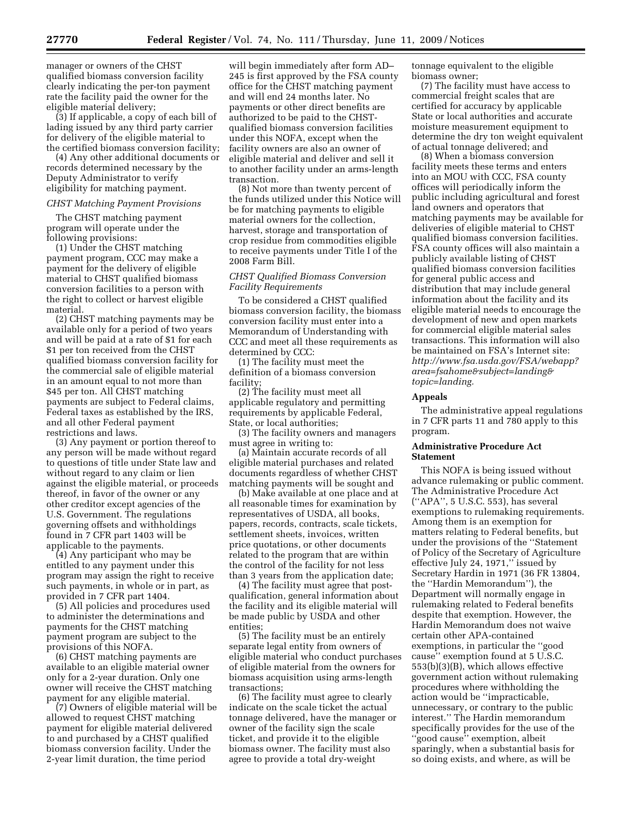manager or owners of the CHST qualified biomass conversion facility clearly indicating the per-ton payment rate the facility paid the owner for the eligible material delivery;

(3) If applicable, a copy of each bill of lading issued by any third party carrier for delivery of the eligible material to the certified biomass conversion facility;

(4) Any other additional documents or records determined necessary by the Deputy Administrator to verify eligibility for matching payment.

## *CHST Matching Payment Provisions*

The CHST matching payment program will operate under the following provisions:

(1) Under the CHST matching payment program, CCC may make a payment for the delivery of eligible material to CHST qualified biomass conversion facilities to a person with the right to collect or harvest eligible material.

(2) CHST matching payments may be available only for a period of two years and will be paid at a rate of \$1 for each \$1 per ton received from the CHST qualified biomass conversion facility for the commercial sale of eligible material in an amount equal to not more than \$45 per ton. All CHST matching payments are subject to Federal claims, Federal taxes as established by the IRS, and all other Federal payment restrictions and laws.

(3) Any payment or portion thereof to any person will be made without regard to questions of title under State law and without regard to any claim or lien against the eligible material, or proceeds thereof, in favor of the owner or any other creditor except agencies of the U.S. Government. The regulations governing offsets and withholdings found in 7 CFR part 1403 will be applicable to the payments.

(4) Any participant who may be entitled to any payment under this program may assign the right to receive such payments, in whole or in part, as provided in 7 CFR part 1404.

(5) All policies and procedures used to administer the determinations and payments for the CHST matching payment program are subject to the provisions of this NOFA.

(6) CHST matching payments are available to an eligible material owner only for a 2-year duration. Only one owner will receive the CHST matching payment for any eligible material.

(7) Owners of eligible material will be allowed to request CHST matching payment for eligible material delivered to and purchased by a CHST qualified biomass conversion facility. Under the 2-year limit duration, the time period

will begin immediately after form AD– 245 is first approved by the FSA county office for the CHST matching payment and will end 24 months later. No payments or other direct benefits are authorized to be paid to the CHSTqualified biomass conversion facilities under this NOFA, except when the facility owners are also an owner of eligible material and deliver and sell it to another facility under an arms-length transaction.

(8) Not more than twenty percent of the funds utilized under this Notice will be for matching payments to eligible material owners for the collection, harvest, storage and transportation of crop residue from commodities eligible to receive payments under Title I of the 2008 Farm Bill.

## *CHST Qualified Biomass Conversion Facility Requirements*

To be considered a CHST qualified biomass conversion facility, the biomass conversion facility must enter into a Memorandum of Understanding with CCC and meet all these requirements as determined by CCC:

(1) The facility must meet the definition of a biomass conversion facility;

(2) The facility must meet all applicable regulatory and permitting requirements by applicable Federal, State, or local authorities;

(3) The facility owners and managers must agree in writing to:

(a) Maintain accurate records of all eligible material purchases and related documents regardless of whether CHST matching payments will be sought and

(b) Make available at one place and at all reasonable times for examination by representatives of USDA, all books, papers, records, contracts, scale tickets, settlement sheets, invoices, written price quotations, or other documents related to the program that are within the control of the facility for not less than 3 years from the application date;

(4) The facility must agree that postqualification, general information about the facility and its eligible material will be made public by USDA and other entities;

(5) The facility must be an entirely separate legal entity from owners of eligible material who conduct purchases of eligible material from the owners for biomass acquisition using arms-length transactions;

(6) The facility must agree to clearly indicate on the scale ticket the actual tonnage delivered, have the manager or owner of the facility sign the scale ticket, and provide it to the eligible biomass owner. The facility must also agree to provide a total dry-weight

tonnage equivalent to the eligible biomass owner;

(7) The facility must have access to commercial freight scales that are certified for accuracy by applicable State or local authorities and accurate moisture measurement equipment to determine the dry ton weight equivalent of actual tonnage delivered; and

(8) When a biomass conversion facility meets these terms and enters into an MOU with CCC, FSA county offices will periodically inform the public including agricultural and forest land owners and operators that matching payments may be available for deliveries of eligible material to CHST qualified biomass conversion facilities. FSA county offices will also maintain a publicly available listing of CHST qualified biomass conversion facilities for general public access and distribution that may include general information about the facility and its eligible material needs to encourage the development of new and open markets for commercial eligible material sales transactions. This information will also be maintained on FSA's Internet site: *http://www.fsa.usda.gov/FSA/webapp? area=fsahome&subject=landing& topic=landing.* 

## **Appeals**

The administrative appeal regulations in 7 CFR parts 11 and 780 apply to this program.

## **Administrative Procedure Act Statement**

This NOFA is being issued without advance rulemaking or public comment. The Administrative Procedure Act (''APA'', 5 U.S.C. 553), has several exemptions to rulemaking requirements. Among them is an exemption for matters relating to Federal benefits, but under the provisions of the ''Statement of Policy of the Secretary of Agriculture effective July 24, 1971,'' issued by Secretary Hardin in 1971 (36 FR 13804, the ''Hardin Memorandum''), the Department will normally engage in rulemaking related to Federal benefits despite that exemption. However, the Hardin Memorandum does not waive certain other APA-contained exemptions, in particular the ''good cause'' exemption found at 5 U.S.C. 553(b)(3)(B), which allows effective government action without rulemaking procedures where withholding the action would be ''impracticable, unnecessary, or contrary to the public interest.'' The Hardin memorandum specifically provides for the use of the ''good cause'' exemption, albeit sparingly, when a substantial basis for so doing exists, and where, as will be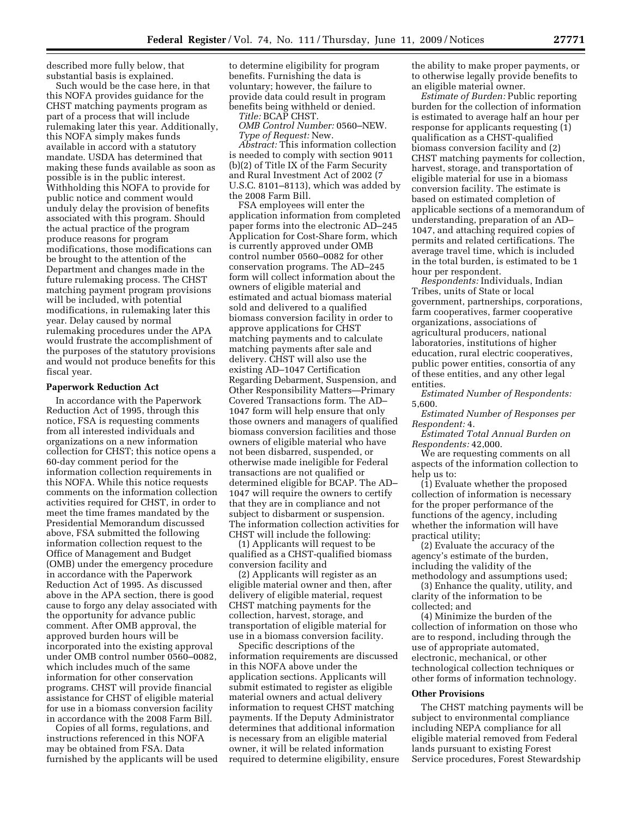described more fully below, that substantial basis is explained.

Such would be the case here, in that this NOFA provides guidance for the CHST matching payments program as part of a process that will include rulemaking later this year. Additionally, this NOFA simply makes funds available in accord with a statutory mandate. USDA has determined that making these funds available as soon as possible is in the public interest. Withholding this NOFA to provide for public notice and comment would unduly delay the provision of benefits associated with this program. Should the actual practice of the program produce reasons for program modifications, those modifications can be brought to the attention of the Department and changes made in the future rulemaking process. The CHST matching payment program provisions will be included, with potential modifications, in rulemaking later this year. Delay caused by normal rulemaking procedures under the APA would frustrate the accomplishment of the purposes of the statutory provisions and would not produce benefits for this fiscal year.

### **Paperwork Reduction Act**

In accordance with the Paperwork Reduction Act of 1995, through this notice, FSA is requesting comments from all interested individuals and organizations on a new information collection for CHST; this notice opens a 60-day comment period for the information collection requirements in this NOFA. While this notice requests comments on the information collection activities required for CHST, in order to meet the time frames mandated by the Presidential Memorandum discussed above, FSA submitted the following information collection request to the Office of Management and Budget (OMB) under the emergency procedure in accordance with the Paperwork Reduction Act of 1995. As discussed above in the APA section, there is good cause to forgo any delay associated with the opportunity for advance public comment. After OMB approval, the approved burden hours will be incorporated into the existing approval under OMB control number 0560–0082, which includes much of the same information for other conservation programs. CHST will provide financial assistance for CHST of eligible material for use in a biomass conversion facility in accordance with the 2008 Farm Bill.

Copies of all forms, regulations, and instructions referenced in this NOFA may be obtained from FSA. Data furnished by the applicants will be used to determine eligibility for program benefits. Furnishing the data is voluntary; however, the failure to provide data could result in program benefits being withheld or denied.

*Title:* BCAP CHST.

*OMB Control Number:* 0560–NEW. *Type of Request:* New.

*Abstract:* This information collection is needed to comply with section 9011 (b)(2) of Title IX of the Farm Security and Rural Investment Act of 2002 (7 U.S.C. 8101–8113), which was added by the 2008 Farm Bill.

FSA employees will enter the application information from completed paper forms into the electronic AD–245 Application for Cost-Share form, which is currently approved under OMB control number 0560–0082 for other conservation programs. The AD–245 form will collect information about the owners of eligible material and estimated and actual biomass material sold and delivered to a qualified biomass conversion facility in order to approve applications for CHST matching payments and to calculate matching payments after sale and delivery. CHST will also use the existing AD–1047 Certification Regarding Debarment, Suspension, and Other Responsibility Matters—Primary Covered Transactions form. The AD– 1047 form will help ensure that only those owners and managers of qualified biomass conversion facilities and those owners of eligible material who have not been disbarred, suspended, or otherwise made ineligible for Federal transactions are not qualified or determined eligible for BCAP. The AD– 1047 will require the owners to certify that they are in compliance and not subject to disbarment or suspension. The information collection activities for CHST will include the following:

(1) Applicants will request to be qualified as a CHST-qualified biomass conversion facility and

(2) Applicants will register as an eligible material owner and then, after delivery of eligible material, request CHST matching payments for the collection, harvest, storage, and transportation of eligible material for use in a biomass conversion facility.

Specific descriptions of the information requirements are discussed in this NOFA above under the application sections. Applicants will submit estimated to register as eligible material owners and actual delivery information to request CHST matching payments. If the Deputy Administrator determines that additional information is necessary from an eligible material owner, it will be related information required to determine eligibility, ensure the ability to make proper payments, or to otherwise legally provide benefits to an eligible material owner.

*Estimate of Burden:* Public reporting burden for the collection of information is estimated to average half an hour per response for applicants requesting (1) qualification as a CHST-qualified biomass conversion facility and (2) CHST matching payments for collection, harvest, storage, and transportation of eligible material for use in a biomass conversion facility. The estimate is based on estimated completion of applicable sections of a memorandum of understanding, preparation of an AD– 1047, and attaching required copies of permits and related certifications. The average travel time, which is included in the total burden, is estimated to be 1 hour per respondent.

*Respondents:* Individuals, Indian Tribes, units of State or local government, partnerships, corporations, farm cooperatives, farmer cooperative organizations, associations of agricultural producers, national laboratories, institutions of higher education, rural electric cooperatives, public power entities, consortia of any of these entities, and any other legal entities.

*Estimated Number of Respondents:*  5,600.

*Estimated Number of Responses per Respondent:* 4.

*Estimated Total Annual Burden on Respondents:* 42,000.

We are requesting comments on all aspects of the information collection to help us to:

(1) Evaluate whether the proposed collection of information is necessary for the proper performance of the functions of the agency, including whether the information will have practical utility;

(2) Evaluate the accuracy of the agency's estimate of the burden, including the validity of the methodology and assumptions used;

(3) Enhance the quality, utility, and clarity of the information to be collected; and

(4) Minimize the burden of the collection of information on those who are to respond, including through the use of appropriate automated, electronic, mechanical, or other technological collection techniques or other forms of information technology.

#### **Other Provisions**

The CHST matching payments will be subject to environmental compliance including NEPA compliance for all eligible material removed from Federal lands pursuant to existing Forest Service procedures, Forest Stewardship